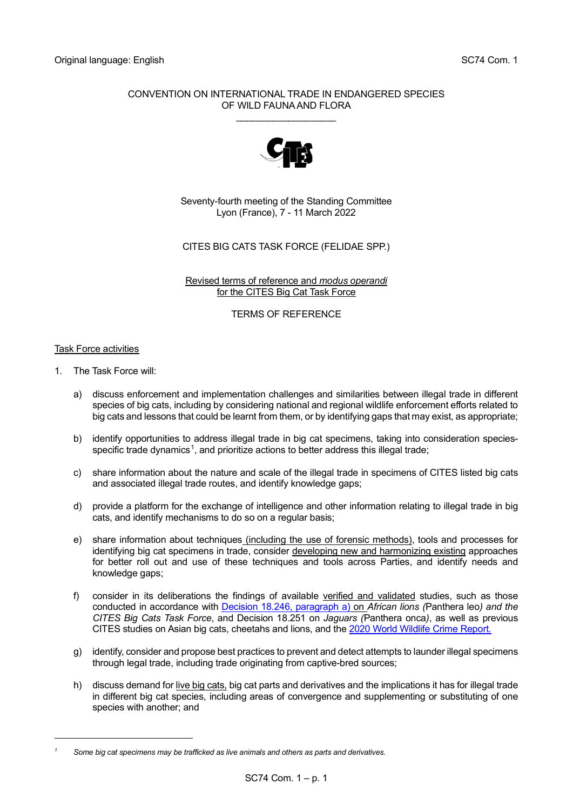#### CONVENTION ON INTERNATIONAL TRADE IN ENDANGERED SPECIES OF WILD FAUNA AND FLORA

\_\_\_\_\_\_\_\_\_\_\_\_\_\_\_\_\_\_\_



Seventy-fourth meeting of the Standing Committee Lyon (France), 7 - 11 March 2022

# CITES BIG CATS TASK FORCE (FELIDAE SPP.)

Revised terms of reference and *modus operandi* for the CITES Big Cat Task Force

TERMS OF REFERENCE

## Task Force activities

- 1. The Task Force will:
	- a) discuss enforcement and implementation challenges and similarities between illegal trade in different species of big cats, including by considering national and regional wildlife enforcement efforts related to big cats and lessons that could be learnt from them, or by identifying gaps that may exist, as appropriate;
	- b) identify opportunities to address illegal trade in big cat specimens, taking into consideration species-specific trade dynamics<sup>[1](#page-0-0)</sup>, and prioritize actions to better address this illegal trade;
	- c) share information about the nature and scale of the illegal trade in specimens of CITES listed big cats and associated illegal trade routes, and identify knowledge gaps;
	- d) provide a platform for the exchange of intelligence and other information relating to illegal trade in big cats, and identify mechanisms to do so on a regular basis;
	- e) share information about techniques (including the use of forensic methods), tools and processes for identifying big cat specimens in trade, consider developing new and harmonizing existing approaches for better roll out and use of these techniques and tools across Parties, and identify needs and knowledge gaps;
	- f) consider in its deliberations the findings of available verified and validated studies, such as those conducted in accordance with [Decision 18.246, paragraph a\)](https://cites.org/eng/taxonomy/term/42091) on *African lions (*Panthera leo*) and the CITES Big Cats Task Force*, and Decision 18.251 on *Jaguars (*Panthera onca*)*, as well as previous CITES studies on Asian big cats, cheetahs and lions, and the [2020 World Wildlife Crime Report.](https://www.unodc.org/documents/data-and-analysis/wildlife/2020/World_Wildlife_Report_2020_9July.pdf)
	- g) identify, consider and propose best practices to prevent and detect attempts to launder illegal specimens through legal trade, including trade originating from captive-bred sources;
	- h) discuss demand for live big cats, big cat parts and derivatives and the implications it has for illegal trade in different big cat species, including areas of convergence and supplementing or substituting of one species with another; and

<span id="page-0-0"></span>*<sup>1</sup> Some big cat specimens may be trafficked as live animals and others as parts and derivatives.*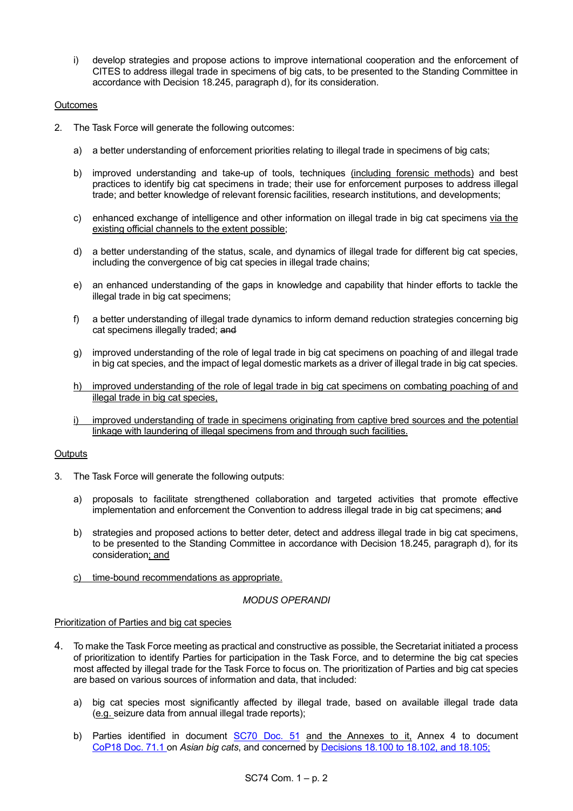i) develop strategies and propose actions to improve international cooperation and the enforcement of CITES to address illegal trade in specimens of big cats, to be presented to the Standing Committee in accordance with Decision 18.245, paragraph d), for its consideration.

## **Outcomes**

- 2. The Task Force will generate the following outcomes:
	- a) a better understanding of enforcement priorities relating to illegal trade in specimens of big cats;
	- b) improved understanding and take-up of tools, techniques (including forensic methods) and best practices to identify big cat specimens in trade; their use for enforcement purposes to address illegal trade; and better knowledge of relevant forensic facilities, research institutions, and developments;
	- c) enhanced exchange of intelligence and other information on illegal trade in big cat specimens via the existing official channels to the extent possible;
	- d) a better understanding of the status, scale, and dynamics of illegal trade for different big cat species, including the convergence of big cat species in illegal trade chains;
	- e) an enhanced understanding of the gaps in knowledge and capability that hinder efforts to tackle the illegal trade in big cat specimens;
	- f) a better understanding of illegal trade dynamics to inform demand reduction strategies concerning big cat specimens illegally traded; and
	- g) improved understanding of the role of legal trade in big cat specimens on poaching of and illegal trade in big cat species, and the impact of legal domestic markets as a driver of illegal trade in big cat species.
	- h) improved understanding of the role of legal trade in big cat specimens on combating poaching of and illegal trade in big cat species,
	- improved understanding of trade in specimens originating from captive bred sources and the potential linkage with laundering of illegal specimens from and through such facilities.

## **Outputs**

- 3. The Task Force will generate the following outputs:
	- a) proposals to facilitate strengthened collaboration and targeted activities that promote effective implementation and enforcement the Convention to address illegal trade in big cat specimens; and
	- b) strategies and proposed actions to better deter, detect and address illegal trade in big cat specimens, to be presented to the Standing Committee in accordance with Decision 18.245, paragraph d), for its consideration; and
	- c) time-bound recommendations as appropriate.

## *MODUS OPERANDI*

## Prioritization of Parties and big cat species

- 4. To make the Task Force meeting as practical and constructive as possible, the Secretariat initiated a process of prioritization to identify Parties for participation in the Task Force, and to determine the big cat species most affected by illegal trade for the Task Force to focus on. The prioritization of Parties and big cat species are based on various sources of information and data, that included:
	- a) big cat species most significantly affected by illegal trade, based on available illegal trade data (e.g. seizure data from annual illegal trade reports);
	- b) Parties identified in document [SC70 Doc. 51](https://cites.org/sites/default/files/eng/com/sc/70/E-SC70-51.pdf) and the Annexes to it, Annex 4 to document [CoP18](https://cites.org/sites/default/files/eng/cop/18/doc/E-CoP18-071-01.pdf) Doc. 71.1 on *Asian big cats*, and concerned by [Decisions 18.100 to 18.102, and 18.105;](https://cites.org/eng/taxonomy/term/42047)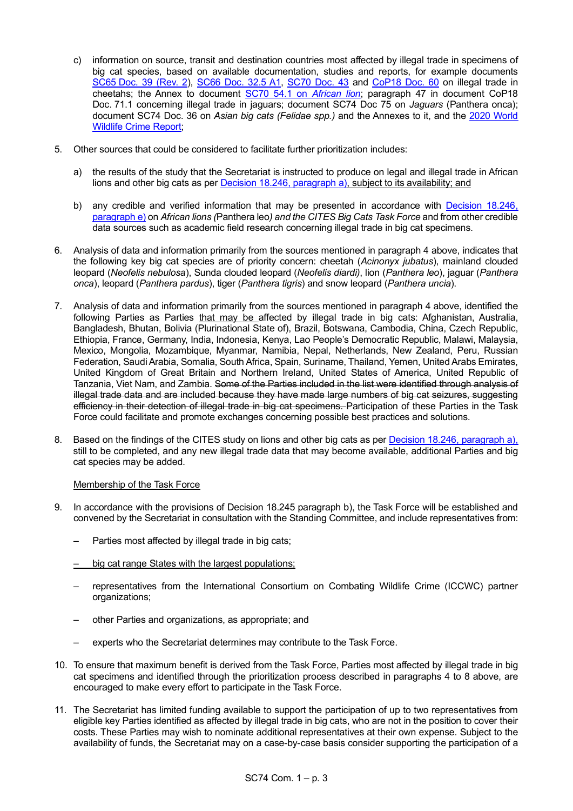- c) information on source, transit and destination countries most affected by illegal trade in specimens of big cat species, based on available documentation, studies and reports, for example documents SC65 [Doc. 39 \(Rev. 2\)](https://cites.org/sites/default/files/eng/com/sc/65/E-SC65-39.pdf), [SC66 Doc. 32.5 A1,](https://cites.org/sites/default/files/eng/com/sc/66/E-SC66-32-05_Annex.pdf) [SC70 Doc. 43](https://cites.org/sites/default/files/eng/com/sc/70/E-SC70-43.pdf) and [CoP18 Doc. 60](https://cites.org/sites/default/files/eng/cop/18/doc/E-CoP18-060.pdf) on illegal trade in cheetahs; the Annex to document [SC70 54.1](https://cites.org/sites/default/files/eng/com/sc/70/E-SC70-54-001.pdf) on *African lion*; paragraph 47 in document CoP18 Doc. 71.1 concerning illegal trade in jaguars; document SC74 Doc 75 on *Jaguars* (Panthera onca); document SC74 Doc. 36 on *Asian big cats (Felidae spp.)* and the Annexes to it, and the [2020 World](https://www.unodc.org/documents/data-and-analysis/wildlife/2020/World_Wildlife_Report_2020_9July.pdf)  [Wildlife Crime Report;](https://www.unodc.org/documents/data-and-analysis/wildlife/2020/World_Wildlife_Report_2020_9July.pdf)
- 5. Other sources that could be considered to facilitate further prioritization includes:
	- a) the results of the study that the Secretariat is instructed to produce on legal and illegal trade in African lions and other big cats as per [Decision 18.246, paragraph a\),](https://cites.org/eng/taxonomy/term/42091) subject to its availability; and
	- b) any credible and verified information that may be presented in accordance with Decision 18.246, [paragraph e\)](https://cites.org/eng/taxonomy/term/42091) on *African lions (*Panthera leo*) and the CITES Big Cats Task Force* and from other credible data sources such as academic field research concerning illegal trade in big cat specimens.
- 6. Analysis of data and information primarily from the sources mentioned in paragraph 4 above, indicates that the following key big cat species are of priority concern: cheetah (*Acinonyx jubatus*), mainland clouded leopard (*Neofelis nebulosa*), Sunda clouded leopard (*Neofelis diardi)*, lion (*Panthera leo*), jaguar (*Panthera onca*), leopard (*Panthera pardus*), tiger (*Panthera tigris*) and snow leopard (*Panthera uncia*).
- 7. Analysis of data and information primarily from the sources mentioned in paragraph 4 above, identified the following Parties as Parties that may be affected by illegal trade in big cats: Afghanistan, Australia, Bangladesh, Bhutan, Bolivia (Plurinational State of), Brazil, Botswana, Cambodia, China, Czech Republic, Ethiopia, France, Germany, India, Indonesia, Kenya, Lao People's Democratic Republic, Malawi, Malaysia, Mexico, Mongolia, Mozambique, Myanmar, Namibia, Nepal, Netherlands, New Zealand, Peru, Russian Federation, Saudi Arabia, Somalia, South Africa, Spain, Suriname, Thailand, Yemen, United Arabs Emirates, United Kingdom of Great Britain and Northern Ireland, United States of America, United Republic of Tanzania, Viet Nam, and Zambia. Some of the Parties included in the list were identified through analysis of illegal trade data and are included because they have made large numbers of big cat seizures, suggesting efficiency in their detection of illegal trade in big cat specimens. Participation of these Parties in the Task Force could facilitate and promote exchanges concerning possible best practices and solutions.
- 8. Based on the findings of the CITES study on lions and other big cats as per [Decision 18.246, paragraph a\),](https://cites.org/eng/taxonomy/term/42091) still to be completed, and any new illegal trade data that may become available, additional Parties and big cat species may be added.

#### Membership of the Task Force

- 9. In accordance with the provisions of Decision 18.245 paragraph b), the Task Force will be established and convened by the Secretariat in consultation with the Standing Committee, and include representatives from:
	- Parties most affected by illegal trade in big cats;
	- big cat range States with the largest populations;
	- representatives from the International Consortium on Combating Wildlife Crime (ICCWC) partner organizations;
	- other Parties and organizations, as appropriate; and
	- experts who the Secretariat determines may contribute to the Task Force.
- 10. To ensure that maximum benefit is derived from the Task Force, Parties most affected by illegal trade in big cat specimens and identified through the prioritization process described in paragraphs 4 to 8 above, are encouraged to make every effort to participate in the Task Force.
- 11. The Secretariat has limited funding available to support the participation of up to two representatives from eligible key Parties identified as affected by illegal trade in big cats, who are not in the position to cover their costs. These Parties may wish to nominate additional representatives at their own expense. Subject to the availability of funds, the Secretariat may on a case-by-case basis consider supporting the participation of a